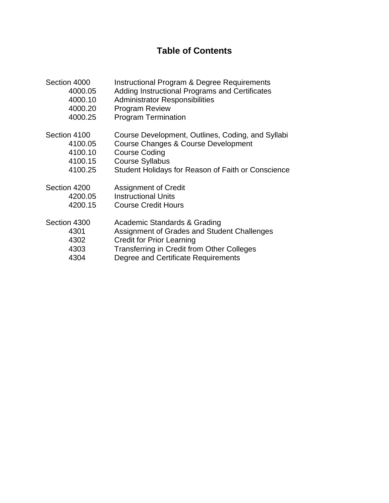# **Table of Contents**

| Section 4000 | <b>Instructional Program &amp; Degree Requirements</b> |
|--------------|--------------------------------------------------------|
| 4000.05      | Adding Instructional Programs and Certificates         |
| 4000.10      | <b>Administrator Responsibilities</b>                  |
| 4000.20      | <b>Program Review</b>                                  |
| 4000.25      | <b>Program Termination</b>                             |
| Section 4100 | Course Development, Outlines, Coding, and Syllabi      |
| 4100.05      | Course Changes & Course Development                    |
| 4100.10      | <b>Course Coding</b>                                   |
| 4100.15      | <b>Course Syllabus</b>                                 |
| 4100.25      | Student Holidays for Reason of Faith or Conscience     |
| Section 4200 | <b>Assignment of Credit</b>                            |
| 4200.05      | <b>Instructional Units</b>                             |
| 4200.15      | <b>Course Credit Hours</b>                             |
| Section 4300 | Academic Standards & Grading                           |
| 4301         | Assignment of Grades and Student Challenges            |
| 4302         | <b>Credit for Prior Learning</b>                       |
| 4303         | <b>Transferring in Credit from Other Colleges</b>      |
| 4304         | Degree and Certificate Requirements                    |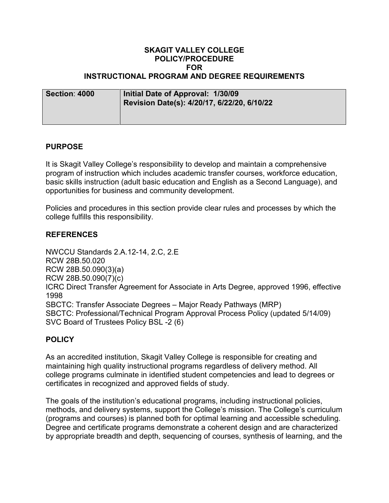#### **SKAGIT VALLEY COLLEGE POLICY/PROCEDURE FOR INSTRUCTIONAL PROGRAM AND DEGREE REQUIREMENTS**

| Section: 4000 | Initial Date of Approval: 1/30/09 |  |
|---------------|-----------------------------------|--|

| <b>UGULIUII. TUUU</b> | $\frac{1}{2}$ $\frac{1}{2}$ $\frac{1}{2}$ $\frac{1}{2}$ $\frac{1}{2}$ $\frac{1}{2}$ $\frac{1}{2}$ $\frac{1}{2}$ $\frac{1}{2}$ $\frac{1}{2}$ $\frac{1}{2}$ $\frac{1}{2}$ $\frac{1}{2}$<br>Revision Date(s): 4/20/17, 6/22/20, 6/10/22 |
|-----------------------|--------------------------------------------------------------------------------------------------------------------------------------------------------------------------------------------------------------------------------------|
|                       |                                                                                                                                                                                                                                      |

# **PURPOSE**

It is Skagit Valley College's responsibility to develop and maintain a comprehensive program of instruction which includes academic transfer courses, workforce education, basic skills instruction (adult basic education and English as a Second Language), and opportunities for business and community development.

Policies and procedures in this section provide clear rules and processes by which the college fulfills this responsibility.

# **REFERENCES**

NWCCU Standards 2.A.12-14, 2.C, 2.E RCW 28B.50.020 RCW 28B.50.090(3)(a) RCW 28B.50.090(7)(c) ICRC Direct Transfer Agreement for Associate in Arts Degree, approved 1996, effective 1998 SBCTC: Transfer Associate Degrees – Major Ready Pathways (MRP) SBCTC: Professional/Technical Program Approval Process Policy (updated 5/14/09) SVC Board of Trustees Policy BSL -2 (6)

# **POLICY**

As an accredited institution, Skagit Valley College is responsible for creating and maintaining high quality instructional programs regardless of delivery method. All college programs culminate in identified student competencies and lead to degrees or certificates in recognized and approved fields of study.

The goals of the institution's educational programs, including instructional policies, methods, and delivery systems, support the College's mission. The College's curriculum (programs and courses) is planned both for optimal learning and accessible scheduling. Degree and certificate programs demonstrate a coherent design and are characterized by appropriate breadth and depth, sequencing of courses, synthesis of learning, and the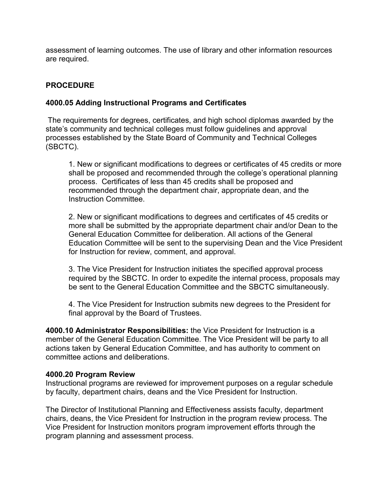assessment of learning outcomes. The use of library and other information resources are required.

# **PROCEDURE**

# **4000.05 Adding Instructional Programs and Certificates**

The requirements for degrees, certificates, and high school diplomas awarded by the state's community and technical colleges must follow guidelines and approval processes established by the State Board of Community and Technical Colleges (SBCTC).

1. New or significant modifications to degrees or certificates of 45 credits or more shall be proposed and recommended through the college's operational planning process. Certificates of less than 45 credits shall be proposed and recommended through the department chair, appropriate dean, and the Instruction Committee.

2. New or significant modifications to degrees and certificates of 45 credits or more shall be submitted by the appropriate department chair and/or Dean to the General Education Committee for deliberation. All actions of the General Education Committee will be sent to the supervising Dean and the Vice President for Instruction for review, comment, and approval.

3. The Vice President for Instruction initiates the specified approval process required by the SBCTC. In order to expedite the internal process, proposals may be sent to the General Education Committee and the SBCTC simultaneously.

4. The Vice President for Instruction submits new degrees to the President for final approval by the Board of Trustees.

**4000.10 Administrator Responsibilities:** the Vice President for Instruction is a member of the General Education Committee. The Vice President will be party to all actions taken by General Education Committee, and has authority to comment on committee actions and deliberations.

# **4000.20 Program Review**

Instructional programs are reviewed for improvement purposes on a regular schedule by faculty, department chairs, deans and the Vice President for Instruction.

The Director of Institutional Planning and Effectiveness assists faculty, department chairs, deans, the Vice President for Instruction in the program review process. The Vice President for Instruction monitors program improvement efforts through the program planning and assessment process.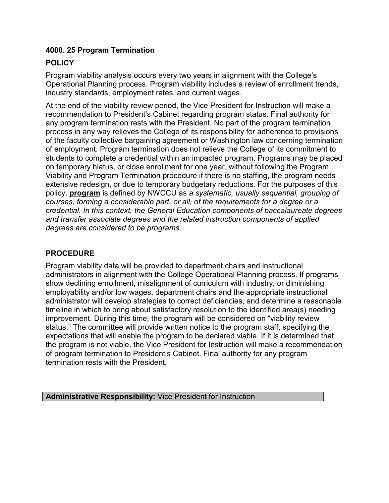# **4000. 25 Program Termination**

# **POLICY**

Program viability analysis occurs every two years in alignment with the College's Operational Planning process. Program viability includes a review of enrollment trends, industry standards, employment rates, and current wages.

At the end of the viability review period, the Vice President for Instruction will make a recommendation to President's Cabinet regarding program status. Final authority for any program termination rests with the President. No part of the program termination process in any way relieves the College of its responsibility for adherence to provisions of the faculty collective bargaining agreement or Washington law concerning termination of employment. Program termination does not relieve the College of its commitment to students to complete a credential within an impacted program. Programs may be placed on temporary hiatus, or close enrollment for one year, without following the Program Viability and Program Termination procedure if there is no staffing, the program needs extensive redesign, or due to temporary budgetary reductions. For the purposes of this policy, **program** is defined by NWCCU as *a systematic, usually sequential, grouping of courses, forming a considerable part, or all, of the requirements for a degree or a credential. In this context, the General Education components of baccalaureate degrees and transfer associate degrees and the related instruction components of applied degrees are considered to be programs.*

# **PROCEDURE**

Program viability data will be provided to department chairs and instructional administrators in alignment with the College Operational Planning process. If programs show declining enrollment, misalignment of curriculum with industry, or diminishing employability and/or low wages, department chairs and the appropriate instructional administrator will develop strategies to correct deficiencies, and determine a reasonable timeline in which to bring about satisfactory resolution to the identified area(s) needing improvement. During this time, the program will be considered on "viability review status." The committee will provide written notice to the program staff, specifying the expectations that will enable the program to be declared viable. If it is determined that the program is not viable, the Vice President for Instruction will make a recommendation of program termination to President's Cabinet. Final authority for any program termination rests with the President.

**Administrative Responsibility:** Vice President for Instruction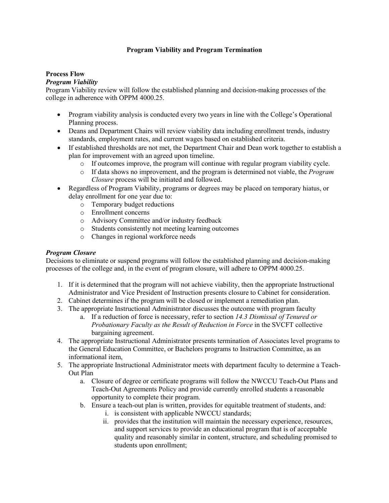#### **Program Viability and Program Termination**

#### **Process Flow**

#### *Program Viability*

Program Viability review will follow the established planning and decision-making processes of the college in adherence with OPPM 4000.25.

- Program viability analysis is conducted every two years in line with the College's Operational Planning process.
- Deans and Department Chairs will review viability data including enrollment trends, industry standards, employment rates, and current wages based on established criteria.
- If established thresholds are not met, the Department Chair and Dean work together to establish a plan for improvement with an agreed upon timeline.
	- o If outcomes improve, the program will continue with regular program viability cycle.
	- o If data shows no improvement, and the program is determined not viable, the *Program Closure* process will be initiated and followed.
- Regardless of Program Viability, programs or degrees may be placed on temporary hiatus, or delay enrollment for one year due to:
	- o Temporary budget reductions
	- o Enrollment concerns
	- o Advisory Committee and/or industry feedback
	- o Students consistently not meeting learning outcomes
	- o Changes in regional workforce needs

#### *Program Closure*

Decisions to eliminate or suspend programs will follow the established planning and decision-making processes of the college and, in the event of program closure, will adhere to OPPM 4000.25.

- 1. If it is determined that the program will not achieve viability, then the appropriate Instructional Administrator and Vice President of Instruction presents closure to Cabinet for consideration.
- 2. Cabinet determines if the program will be closed or implement a remediation plan.
- 3. The appropriate Instructional Administrator discusses the outcome with program faculty
	- a. If a reduction of force is necessary, refer to section *14.3 Dismissal of Tenured or Probationary Faculty as the Result of Reduction in Force* in the SVCFT collective bargaining agreement.
- 4. The appropriate Instructional Administrator presents termination of Associates level programs to the General Education Committee, or Bachelors programs to Instruction Committee, as an informational item,
- 5. The appropriate Instructional Administrator meets with department faculty to determine a Teach-Out Plan
	- a. Closure of degree or certificate programs will follow the NWCCU Teach-Out Plans and Teach-Out Agreements Policy and provide currently enrolled students a reasonable opportunity to complete their program.
	- b. Ensure a teach-out plan is written, provides for equitable treatment of students, and:
		- i. is consistent with applicable NWCCU standards;
		- ii. provides that the institution will maintain the necessary experience, resources, and support services to provide an educational program that is of acceptable quality and reasonably similar in content, structure, and scheduling promised to students upon enrollment;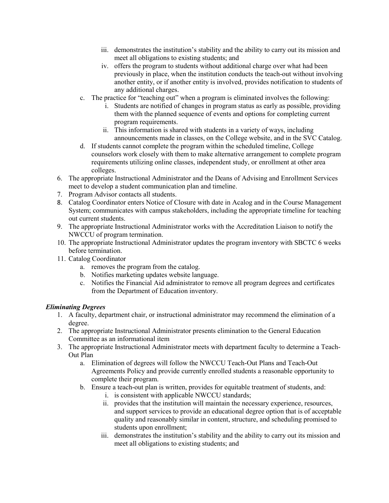- iii. demonstrates the institution's stability and the ability to carry out its mission and meet all obligations to existing students; and
- iv. offers the program to students without additional charge over what had been previously in place, when the institution conducts the teach-out without involving another entity, or if another entity is involved, provides notification to students of any additional charges.
- c. The practice for "teaching out" when a program is eliminated involves the following:
	- i. Students are notified of changes in program status as early as possible, providing them with the planned sequence of events and options for completing current program requirements.
	- ii. This information is shared with students in a variety of ways, including announcements made in classes, on the College website, and in the SVC Catalog.
- d. If students cannot complete the program within the scheduled timeline, College counselors work closely with them to make alternative arrangement to complete program requirements utilizing online classes, independent study, or enrollment at other area colleges.
- 6. The appropriate Instructional Administrator and the Deans of Advising and Enrollment Services meet to develop a student communication plan and timeline.
- 7. Program Advisor contacts all students.
- 8. Catalog Coordinator enters Notice of Closure with date in Acalog and in the Course Management System; communicates with campus stakeholders, including the appropriate timeline for teaching out current students.
- 9. The appropriate Instructional Administrator works with the Accreditation Liaison to notify the NWCCU of program termination.
- 10. The appropriate Instructional Administrator updates the program inventory with SBCTC 6 weeks before termination.
- 11. Catalog Coordinator
	- a. removes the program from the catalog.
	- b. Notifies marketing updates website language.
	- c. Notifies the Financial Aid administrator to remove all program degrees and certificates from the Department of Education inventory.

#### *Eliminating Degrees*

- 1. A faculty, department chair, or instructional administrator may recommend the elimination of a degree.
- 2. The appropriate Instructional Administrator presents elimination to the General Education Committee as an informational item
- 3. The appropriate Instructional Administrator meets with department faculty to determine a Teach-Out Plan
	- a. Elimination of degrees will follow the NWCCU Teach-Out Plans and Teach-Out Agreements Policy and provide currently enrolled students a reasonable opportunity to complete their program.
	- b. Ensure a teach-out plan is written, provides for equitable treatment of students, and:
		- i. is consistent with applicable NWCCU standards;
		- ii. provides that the institution will maintain the necessary experience, resources, and support services to provide an educational degree option that is of acceptable quality and reasonably similar in content, structure, and scheduling promised to students upon enrollment;
		- iii. demonstrates the institution's stability and the ability to carry out its mission and meet all obligations to existing students; and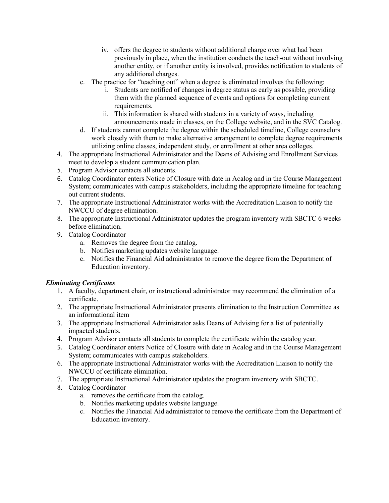- iv. offers the degree to students without additional charge over what had been previously in place, when the institution conducts the teach-out without involving another entity, or if another entity is involved, provides notification to students of any additional charges.
- c. The practice for "teaching out" when a degree is eliminated involves the following:
	- i. Students are notified of changes in degree status as early as possible, providing them with the planned sequence of events and options for completing current requirements.
	- ii. This information is shared with students in a variety of ways, including announcements made in classes, on the College website, and in the SVC Catalog.
- d. If students cannot complete the degree within the scheduled timeline, College counselors work closely with them to make alternative arrangement to complete degree requirements utilizing online classes, independent study, or enrollment at other area colleges.
- 4. The appropriate Instructional Administrator and the Deans of Advising and Enrollment Services meet to develop a student communication plan.
- 5. Program Advisor contacts all students.
- 6. Catalog Coordinator enters Notice of Closure with date in Acalog and in the Course Management System; communicates with campus stakeholders, including the appropriate timeline for teaching out current students.
- 7. The appropriate Instructional Administrator works with the Accreditation Liaison to notify the NWCCU of degree elimination.
- 8. The appropriate Instructional Administrator updates the program inventory with SBCTC 6 weeks before elimination.
- 9. Catalog Coordinator
	- a. Removes the degree from the catalog.
	- b. Notifies marketing updates website language.
	- c. Notifies the Financial Aid administrator to remove the degree from the Department of Education inventory.

#### *Eliminating Certificates*

- 1. A faculty, department chair, or instructional administrator may recommend the elimination of a certificate.
- 2. The appropriate Instructional Administrator presents elimination to the Instruction Committee as an informational item
- 3. The appropriate Instructional Administrator asks Deans of Advising for a list of potentially impacted students.
- 4. Program Advisor contacts all students to complete the certificate within the catalog year.
- 5. Catalog Coordinator enters Notice of Closure with date in Acalog and in the Course Management System; communicates with campus stakeholders.
- 6. The appropriate Instructional Administrator works with the Accreditation Liaison to notify the NWCCU of certificate elimination.
- 7. The appropriate Instructional Administrator updates the program inventory with SBCTC.
- 8. Catalog Coordinator
	- a. removes the certificate from the catalog.
	- b. Notifies marketing updates website language.
	- c. Notifies the Financial Aid administrator to remove the certificate from the Department of Education inventory.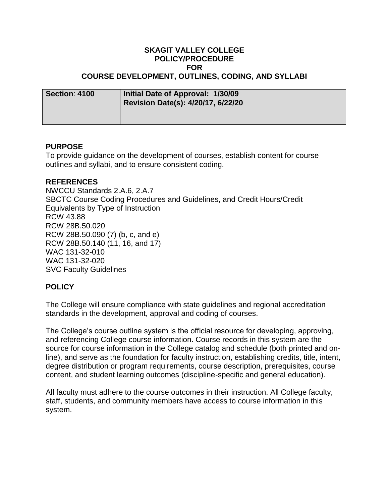#### **SKAGIT VALLEY COLLEGE POLICY/PROCEDURE FOR COURSE DEVELOPMENT, OUTLINES, CODING, AND SYLLABI**

| <b>Section: 4100</b> | Initial Date of Approval: 1/30/09<br><b>Revision Date(s): 4/20/17, 6/22/20</b> |
|----------------------|--------------------------------------------------------------------------------|
|                      |                                                                                |

#### **PURPOSE**

To provide guidance on the development of courses, establish content for course outlines and syllabi, and to ensure consistent coding.

#### **REFERENCES**

NWCCU Standards 2.A.6, 2.A.7 SBCTC Course Coding Procedures and Guidelines, and Credit Hours/Credit Equivalents by Type of Instruction RCW 43.88 RCW 28B.50.020 RCW 28B.50.090 (7) (b, c, and e) RCW 28B.50.140 (11, 16, and 17) WAC 131-32-010 WAC 131-32-020 SVC Faculty Guidelines

# **POLICY**

The College will ensure compliance with state guidelines and regional accreditation standards in the development, approval and coding of courses.

The College's course outline system is the official resource for developing, approving, and referencing College course information. Course records in this system are the source for course information in the College catalog and schedule (both printed and online), and serve as the foundation for faculty instruction, establishing credits, title, intent, degree distribution or program requirements, course description, prerequisites, course content, and student learning outcomes (discipline-specific and general education).

All faculty must adhere to the course outcomes in their instruction. All College faculty, staff, students, and community members have access to course information in this system.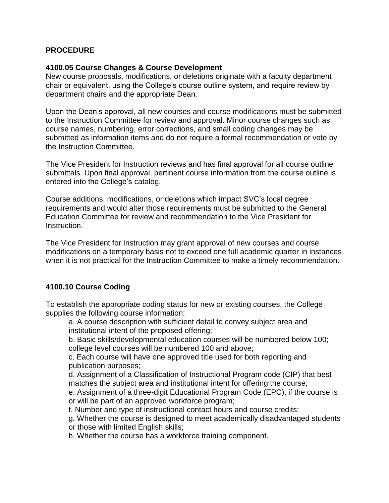# **PROCEDURE**

### **4100.05 Course Changes & Course Development**

New course proposals, modifications, or deletions originate with a faculty department chair or equivalent, using the College's course outline system, and require review by department chairs and the appropriate Dean.

Upon the Dean's approval, all new courses and course modifications must be submitted to the Instruction Committee for review and approval. Minor course changes such as course names, numbering, error corrections, and small coding changes may be submitted as information items and do not require a formal recommendation or vote by the Instruction Committee.

The Vice President for Instruction reviews and has final approval for all course outline submittals. Upon final approval, pertinent course information from the course outline is entered into the College's catalog.

Course additions, modifications, or deletions which impact SVC's local degree requirements and would alter those requirements must be submitted to the General Education Committee for review and recommendation to the Vice President for Instruction.

The Vice President for Instruction may grant approval of new courses and course modifications on a temporary basis not to exceed one full academic quarter in instances when it is not practical for the Instruction Committee to make a timely recommendation.

# **4100.10 Course Coding**

To establish the appropriate coding status for new or existing courses, the College supplies the following course information:

a. A course description with sufficient detail to convey subject area and institutional intent of the proposed offering;

b. Basic skills/developmental education courses will be numbered below 100; college level courses will be numbered 100 and above;

c. Each course will have one approved title used for both reporting and publication purposes;

d. Assignment of a Classification of Instructional Program code (CIP) that best matches the subject area and institutional intent for offering the course;

e. Assignment of a three-digit Educational Program Code (EPC), if the course is or will be part of an approved workforce program;

f. Number and type of instructional contact hours and course credits;

g. Whether the course is designed to meet academically disadvantaged students or those with limited English skills;

h. Whether the course has a workforce training component.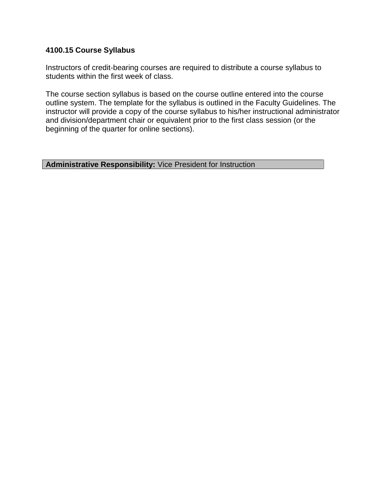### **4100.15 Course Syllabus**

Instructors of credit-bearing courses are required to distribute a course syllabus to students within the first week of class.

The course section syllabus is based on the course outline entered into the course outline system. The template for the syllabus is outlined in the Faculty Guidelines. The instructor will provide a copy of the course syllabus to his/her instructional administrator and division/department chair or equivalent prior to the first class session (or the beginning of the quarter for online sections).

# **Administrative Responsibility:** Vice President for Instruction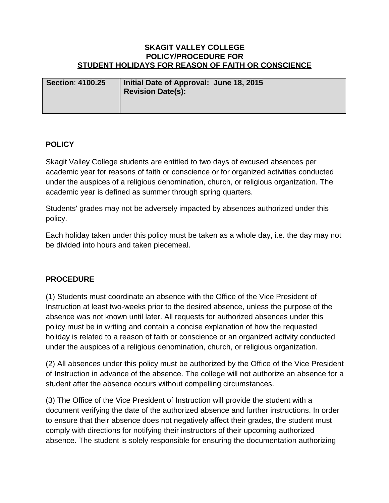#### **SKAGIT VALLEY COLLEGE POLICY/PROCEDURE FOR STUDENT HOLIDAYS FOR REASON OF FAITH OR CONSCIENCE**

| <b>Section: 4100.25</b> | Initial Date of Approval: June 18, 2015<br><b>Revision Date(s):</b> |
|-------------------------|---------------------------------------------------------------------|
|                         |                                                                     |

# **POLICY**

Skagit Valley College students are entitled to two days of excused absences per academic year for reasons of faith or conscience or for organized activities conducted under the auspices of a religious denomination, church, or religious organization. The academic year is defined as summer through spring quarters.

Students' grades may not be adversely impacted by absences authorized under this policy.

Each holiday taken under this policy must be taken as a whole day, i.e. the day may not be divided into hours and taken piecemeal.

# **PROCEDURE**

(1) Students must coordinate an absence with the Office of the Vice President of Instruction at least two-weeks prior to the desired absence, unless the purpose of the absence was not known until later. All requests for authorized absences under this policy must be in writing and contain a concise explanation of how the requested holiday is related to a reason of faith or conscience or an organized activity conducted under the auspices of a religious denomination, church, or religious organization.

(2) All absences under this policy must be authorized by the Office of the Vice President of Instruction in advance of the absence. The college will not authorize an absence for a student after the absence occurs without compelling circumstances.

(3) The Office of the Vice President of Instruction will provide the student with a document verifying the date of the authorized absence and further instructions. In order to ensure that their absence does not negatively affect their grades, the student must comply with directions for notifying their instructors of their upcoming authorized absence. The student is solely responsible for ensuring the documentation authorizing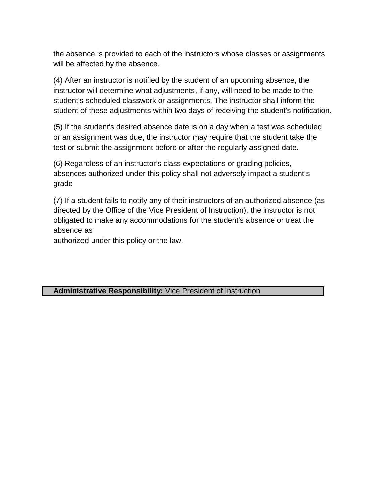the absence is provided to each of the instructors whose classes or assignments will be affected by the absence.

(4) After an instructor is notified by the student of an upcoming absence, the instructor will determine what adjustments, if any, will need to be made to the student's scheduled classwork or assignments. The instructor shall inform the student of these adjustments within two days of receiving the student's notification.

(5) If the student's desired absence date is on a day when a test was scheduled or an assignment was due, the instructor may require that the student take the test or submit the assignment before or after the regularly assigned date.

(6) Regardless of an instructor's class expectations or grading policies, absences authorized under this policy shall not adversely impact a student's grade

(7) If a student fails to notify any of their instructors of an authorized absence (as directed by the Office of the Vice President of Instruction), the instructor is not obligated to make any accommodations for the student's absence or treat the absence as

authorized under this policy or the law.

**Administrative Responsibility:** Vice President of Instruction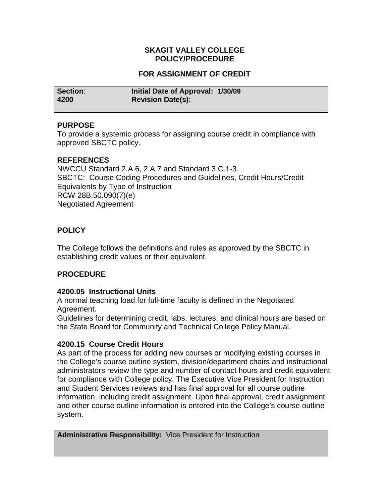# **SKAGIT VALLEY COLLEGE POLICY/PROCEDURE**

# **FOR ASSIGNMENT OF CREDIT**

| Section: | Initial Date of Approval: 1/30/09 |
|----------|-----------------------------------|
| 4200     | Revision Date(s):                 |

# **PURPOSE**

To provide a systemic process for assigning course credit in compliance with approved SBCTC policy.

# **REFERENCES**

NWCCU Standard 2.A.6, 2.A.7 and Standard 3.C.1-3. SBCTC: Course Coding Procedures and Guidelines, Credit Hours/Credit Equivalents by Type of Instruction RCW 28B.50.090(7)(e) Negotiated Agreement

# **POLICY**

The College follows the definitions and rules as approved by the SBCTC in establishing credit values or their equivalent.

# **PROCEDURE**

# **4200.05 Instructional Units**

A normal teaching load for full-time faculty is defined in the Negotiated Agreement.

Guidelines for determining credit, labs, lectures, and clinical hours are based on the State Board for Community and Technical College Policy Manual.

# **4200.15 Course Credit Hours**

As part of the process for adding new courses or modifying existing courses in the College's course outline system, division/department chairs and instructional administrators review the type and number of contact hours and credit equivalent for compliance with College policy. The Executive Vice President for Instruction and Student Services reviews and has final approval for all course outline information, including credit assignment. Upon final approval, credit assignment and other course outline information is entered into the College's course outline system.

**Administrative Responsibility:** Vice President for Instruction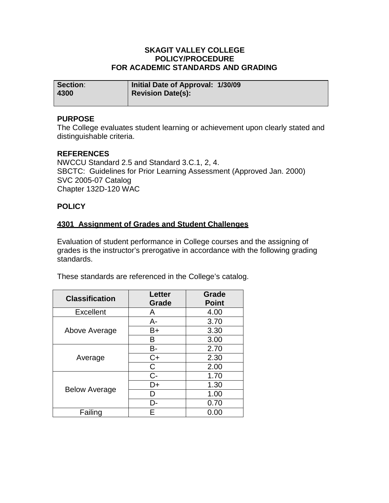#### **SKAGIT VALLEY COLLEGE POLICY/PROCEDURE FOR ACADEMIC STANDARDS AND GRADING**

| Section: | Initial Date of Approval: 1/30/09 |
|----------|-----------------------------------|
| 4300     | <b>Revision Date(s):</b>          |
|          |                                   |

### **PURPOSE**

The College evaluates student learning or achievement upon clearly stated and distinguishable criteria.

# **REFERENCES**

NWCCU Standard 2.5 and Standard 3.C.1, 2, 4. SBCTC: Guidelines for Prior Learning Assessment (Approved Jan. 2000) SVC 2005-07 Catalog Chapter 132D-120 WAC

#### **POLICY**

#### **4301 Assignment of Grades and Student Challenges**

Evaluation of student performance in College courses and the assigning of grades is the instructor's prerogative in accordance with the following grading standards.

These standards are referenced in the College's catalog.

| <b>Classification</b> | <b>Letter</b><br>Grade | Grade<br><b>Point</b> |
|-----------------------|------------------------|-----------------------|
| <b>Excellent</b>      | A                      | 4.00                  |
|                       | A-                     | 3.70                  |
| Above Average         | B+                     | 3.30                  |
|                       | в                      | 3.00                  |
|                       | В-                     | 2.70                  |
| Average               | $C+$                   | 2.30                  |
|                       | С                      | 2.00                  |
|                       | C-                     | 1.70                  |
|                       | D+                     | 1.30                  |
| <b>Below Average</b>  |                        | 1.00                  |
|                       | D-                     | 0.70                  |
| Failing               |                        | 0.00                  |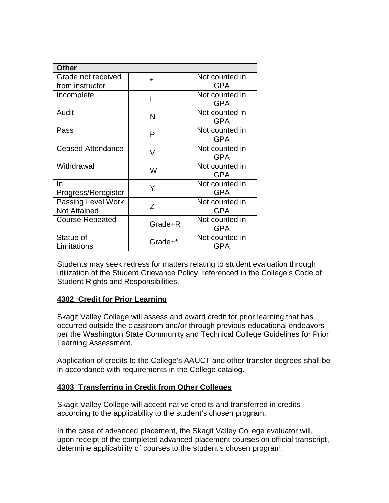| <b>Other</b>                              |         |                              |
|-------------------------------------------|---------|------------------------------|
| Grade not received                        | $\star$ | Not counted in               |
| from instructor                           |         | <b>GPA</b>                   |
| Incomplete                                |         | Not counted in<br><b>GPA</b> |
| Audit                                     | N       | Not counted in<br><b>GPA</b> |
| Pass                                      | Р       | Not counted in<br><b>GPA</b> |
| <b>Ceased Attendance</b>                  | V       | Not counted in<br><b>GPA</b> |
| Withdrawal                                | W       | Not counted in<br><b>GPA</b> |
| In<br>Progress/Reregister                 | Y       | Not counted in<br><b>GPA</b> |
| Passing Level Work<br><b>Not Attained</b> | Ζ       | Not counted in<br><b>GPA</b> |
| <b>Course Repeated</b>                    | Grade+R | Not counted in<br><b>GPA</b> |
| Statue of<br>Limitations                  | Grade+* | Not counted in<br>GPA        |

Students may seek redress for matters relating to student evaluation through utilization of the Student Grievance Policy, referenced in the College's Code of Student Rights and Responsibilities.

# **4302 Credit for Prior Learning**

Skagit Valley College will assess and award credit for prior learning that has occurred outside the classroom and/or through previous educational endeavors per the Washington State Community and Technical College Guidelines for Prior Learning Assessment.

Application of credits to the College's AAUCT and other transfer degrees shall be in accordance with requirements in the College catalog.

# **4303 Transferring in Credit from Other Colleges**

Skagit Valley College will accept native credits and transferred in credits according to the applicability to the student's chosen program.

determine applicability of courses to the student's chosen program. In the case of advanced placement, the Skagit Valley College evaluator will, upon receipt of the completed advanced placement courses on official transcript,